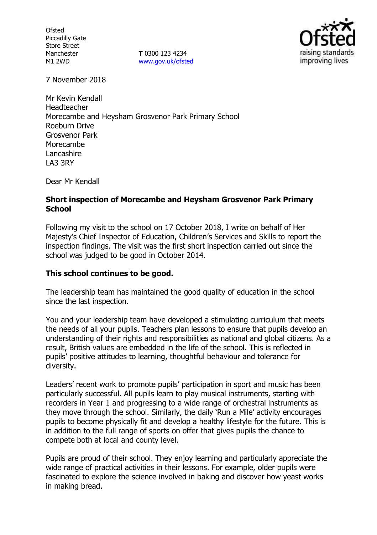**Ofsted** Piccadilly Gate Store Street Manchester M1 2WD

**T** 0300 123 4234 www.gov.uk/ofsted



7 November 2018

Mr Kevin Kendall Headteacher Morecambe and Heysham Grosvenor Park Primary School Roeburn Drive Grosvenor Park Morecambe Lancashire LA3 3RY

Dear Mr Kendall

#### **Short inspection of Morecambe and Heysham Grosvenor Park Primary School**

Following my visit to the school on 17 October 2018, I write on behalf of Her Majesty's Chief Inspector of Education, Children's Services and Skills to report the inspection findings. The visit was the first short inspection carried out since the school was judged to be good in October 2014.

### **This school continues to be good.**

The leadership team has maintained the good quality of education in the school since the last inspection.

You and your leadership team have developed a stimulating curriculum that meets the needs of all your pupils. Teachers plan lessons to ensure that pupils develop an understanding of their rights and responsibilities as national and global citizens. As a result, British values are embedded in the life of the school. This is reflected in pupils' positive attitudes to learning, thoughtful behaviour and tolerance for diversity.

Leaders' recent work to promote pupils' participation in sport and music has been particularly successful. All pupils learn to play musical instruments, starting with recorders in Year 1 and progressing to a wide range of orchestral instruments as they move through the school. Similarly, the daily 'Run a Mile' activity encourages pupils to become physically fit and develop a healthy lifestyle for the future. This is in addition to the full range of sports on offer that gives pupils the chance to compete both at local and county level.

Pupils are proud of their school. They enjoy learning and particularly appreciate the wide range of practical activities in their lessons. For example, older pupils were fascinated to explore the science involved in baking and discover how yeast works in making bread.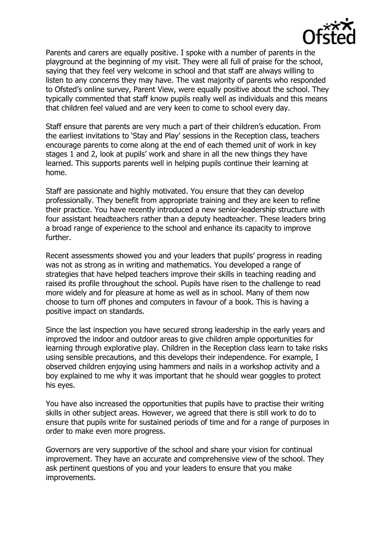

Parents and carers are equally positive. I spoke with a number of parents in the playground at the beginning of my visit. They were all full of praise for the school, saying that they feel very welcome in school and that staff are always willing to listen to any concerns they may have. The vast majority of parents who responded to Ofsted's online survey, Parent View, were equally positive about the school. They typically commented that staff know pupils really well as individuals and this means that children feel valued and are very keen to come to school every day.

Staff ensure that parents are very much a part of their children's education. From the earliest invitations to 'Stay and Play' sessions in the Reception class, teachers encourage parents to come along at the end of each themed unit of work in key stages 1 and 2, look at pupils' work and share in all the new things they have learned. This supports parents well in helping pupils continue their learning at home.

Staff are passionate and highly motivated. You ensure that they can develop professionally. They benefit from appropriate training and they are keen to refine their practice. You have recently introduced a new senior-leadership structure with four assistant headteachers rather than a deputy headteacher. These leaders bring a broad range of experience to the school and enhance its capacity to improve further.

Recent assessments showed you and your leaders that pupils' progress in reading was not as strong as in writing and mathematics. You developed a range of strategies that have helped teachers improve their skills in teaching reading and raised its profile throughout the school. Pupils have risen to the challenge to read more widely and for pleasure at home as well as in school. Many of them now choose to turn off phones and computers in favour of a book. This is having a positive impact on standards.

Since the last inspection you have secured strong leadership in the early years and improved the indoor and outdoor areas to give children ample opportunities for learning through explorative play. Children in the Reception class learn to take risks using sensible precautions, and this develops their independence. For example, I observed children enjoying using hammers and nails in a workshop activity and a boy explained to me why it was important that he should wear goggles to protect his eyes.

You have also increased the opportunities that pupils have to practise their writing skills in other subject areas. However, we agreed that there is still work to do to ensure that pupils write for sustained periods of time and for a range of purposes in order to make even more progress.

Governors are very supportive of the school and share your vision for continual improvement. They have an accurate and comprehensive view of the school. They ask pertinent questions of you and your leaders to ensure that you make improvements.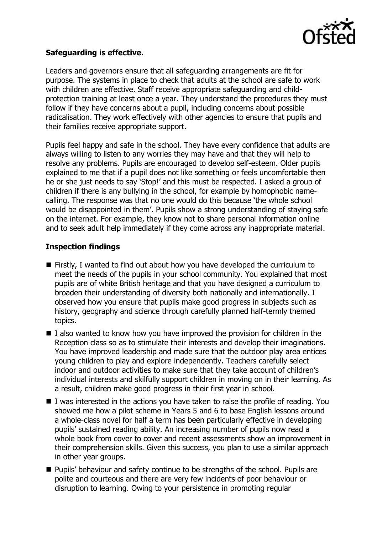

## **Safeguarding is effective.**

Leaders and governors ensure that all safeguarding arrangements are fit for purpose. The systems in place to check that adults at the school are safe to work with children are effective. Staff receive appropriate safeguarding and childprotection training at least once a year. They understand the procedures they must follow if they have concerns about a pupil, including concerns about possible radicalisation. They work effectively with other agencies to ensure that pupils and their families receive appropriate support.

Pupils feel happy and safe in the school. They have every confidence that adults are always willing to listen to any worries they may have and that they will help to resolve any problems. Pupils are encouraged to develop self-esteem. Older pupils explained to me that if a pupil does not like something or feels uncomfortable then he or she just needs to say 'Stop!' and this must be respected. I asked a group of children if there is any bullying in the school, for example by homophobic namecalling. The response was that no one would do this because 'the whole school would be disappointed in them'. Pupils show a strong understanding of staying safe on the internet. For example, they know not to share personal information online and to seek adult help immediately if they come across any inappropriate material.

# **Inspection findings**

- Firstly, I wanted to find out about how you have developed the curriculum to meet the needs of the pupils in your school community. You explained that most pupils are of white British heritage and that you have designed a curriculum to broaden their understanding of diversity both nationally and internationally. I observed how you ensure that pupils make good progress in subjects such as history, geography and science through carefully planned half-termly themed topics.
- $\blacksquare$  I also wanted to know how you have improved the provision for children in the Reception class so as to stimulate their interests and develop their imaginations. You have improved leadership and made sure that the outdoor play area entices young children to play and explore independently. Teachers carefully select indoor and outdoor activities to make sure that they take account of children's individual interests and skilfully support children in moving on in their learning. As a result, children make good progress in their first year in school.
- $\blacksquare$  I was interested in the actions you have taken to raise the profile of reading. You showed me how a pilot scheme in Years 5 and 6 to base English lessons around a whole-class novel for half a term has been particularly effective in developing pupils' sustained reading ability. An increasing number of pupils now read a whole book from cover to cover and recent assessments show an improvement in their comprehension skills. Given this success, you plan to use a similar approach in other year groups.
- **Pupils' behaviour and safety continue to be strengths of the school. Pupils are** polite and courteous and there are very few incidents of poor behaviour or disruption to learning. Owing to your persistence in promoting regular